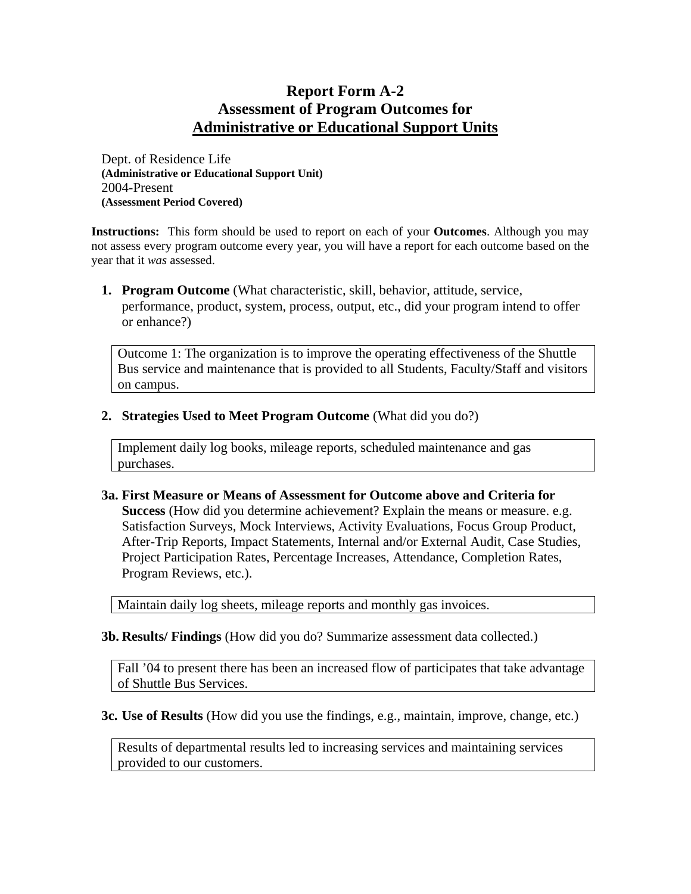## **Report Form A-2 Assessment of Program Outcomes for Administrative or Educational Support Units**

Dept. of Residence Life **(Administrative or Educational Support Unit)**  2004-Present **(Assessment Period Covered)** 

**Instructions:** This form should be used to report on each of your **Outcomes**. Although you may not assess every program outcome every year, you will have a report for each outcome based on the year that it *was* assessed.

**1. Program Outcome** (What characteristic, skill, behavior, attitude, service, performance, product, system, process, output, etc., did your program intend to offer or enhance?)

Outcome 1: The organization is to improve the operating effectiveness of the Shuttle Bus service and maintenance that is provided to all Students, Faculty/Staff and visitors on campus.

## **2. Strategies Used to Meet Program Outcome** (What did you do?)

Implement daily log books, mileage reports, scheduled maintenance and gas purchases.

## **3a. First Measure or Means of Assessment for Outcome above and Criteria for Success** (How did you determine achievement? Explain the means or measure. e.g. Satisfaction Surveys, Mock Interviews, Activity Evaluations, Focus Group Product, After-Trip Reports, Impact Statements, Internal and/or External Audit, Case Studies, Project Participation Rates, Percentage Increases, Attendance, Completion Rates, Program Reviews, etc.).

Maintain daily log sheets, mileage reports and monthly gas invoices.

**3b. Results/ Findings** (How did you do? Summarize assessment data collected.)

Fall '04 to present there has been an increased flow of participates that take advantage of Shuttle Bus Services.

**3c. Use of Results** (How did you use the findings, e.g., maintain, improve, change, etc.)

Results of departmental results led to increasing services and maintaining services provided to our customers.